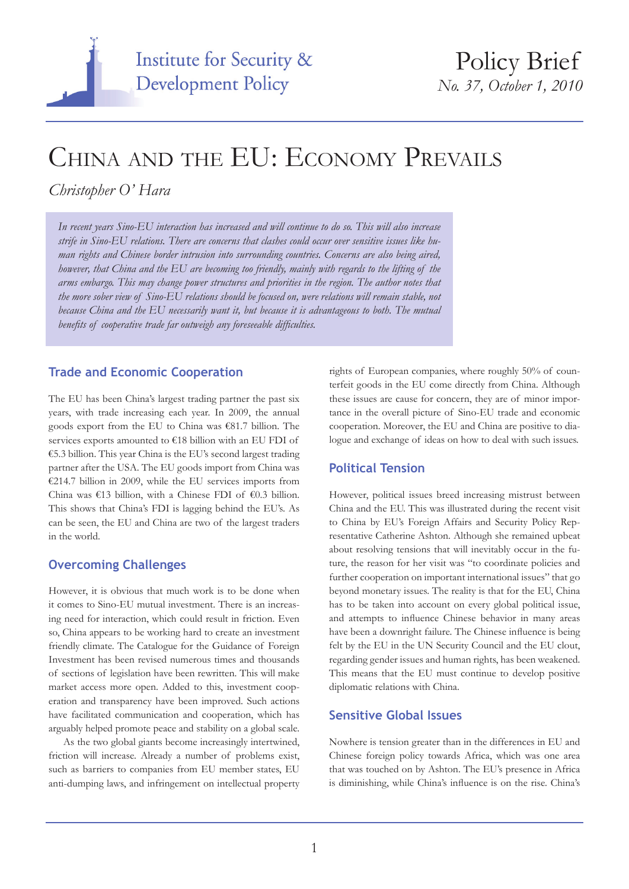

# China and the EU: Economy Prevails

# *Christopher O' Hara*

*In recent years Sino-EU interaction has increased and will continue to do so. This will also increase strife in Sino-EU relations. There are concerns that clashes could occur over sensitive issues like human rights and Chinese border intrusion into surrounding countries. Concerns are also being aired, however, that China and the EU are becoming too friendly, mainly with regards to the lifting of the arms embargo. This may change power structures and priorities in the region. The author notes that the more sober view of Sino-EU relations should be focused on, were relations will remain stable, not because China and the EU necessarily want it, but because it is advantageous to both. The mutual benefits of cooperative trade far outweigh any foreseeable difficulties.*

#### **Trade and Economic Cooperation**

The EU has been China's largest trading partner the past six years, with trade increasing each year. In 2009, the annual goods export from the EU to China was €81.7 billion. The services exports amounted to €18 billion with an EU FDI of €5.3 billion. This year China is the EU's second largest trading partner after the USA. The EU goods import from China was €214.7 billion in 2009, while the EU services imports from China was €13 billion, with a Chinese FDI of €0.3 billion. This shows that China's FDI is lagging behind the EU's. As can be seen, the EU and China are two of the largest traders in the world.

## **Overcoming Challenges**

However, it is obvious that much work is to be done when it comes to Sino-EU mutual investment. There is an increasing need for interaction, which could result in friction. Even so, China appears to be working hard to create an investment friendly climate. The Catalogue for the Guidance of Foreign Investment has been revised numerous times and thousands of sections of legislation have been rewritten. This will make market access more open. Added to this, investment cooperation and transparency have been improved. Such actions have facilitated communication and cooperation, which has arguably helped promote peace and stability on a global scale.

As the two global giants become increasingly intertwined, friction will increase. Already a number of problems exist, such as barriers to companies from EU member states, EU anti-dumping laws, and infringement on intellectual property

rights of European companies, where roughly 50% of counterfeit goods in the EU come directly from China. Although these issues are cause for concern, they are of minor importance in the overall picture of Sino-EU trade and economic cooperation. Moreover, the EU and China are positive to dialogue and exchange of ideas on how to deal with such issues.

#### **Political Tension**

However, political issues breed increasing mistrust between China and the EU. This was illustrated during the recent visit to China by EU's Foreign Affairs and Security Policy Representative Catherine Ashton. Although she remained upbeat about resolving tensions that will inevitably occur in the future, the reason for her visit was "to coordinate policies and further cooperation on important international issues" that go beyond monetary issues. The reality is that for the EU, China has to be taken into account on every global political issue, and attempts to influence Chinese behavior in many areas have been a downright failure. The Chinese influence is being felt by the EU in the UN Security Council and the EU clout, regarding gender issues and human rights, has been weakened. This means that the EU must continue to develop positive diplomatic relations with China.

## **Sensitive Global Issues**

Nowhere is tension greater than in the differences in EU and Chinese foreign policy towards Africa, which was one area that was touched on by Ashton. The EU's presence in Africa is diminishing, while China's influence is on the rise. China's